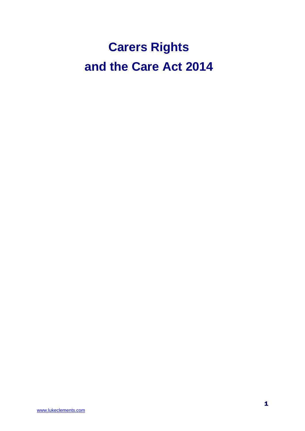# **Carers Rights and the Care Act 2014**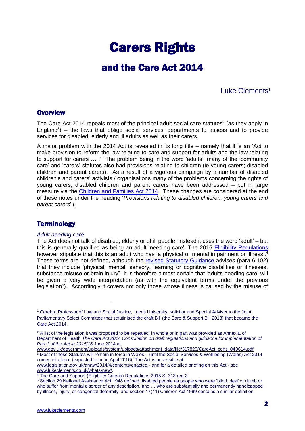## Carers Rights

## and the Care Act 2014

### Luke Clements<sup>1</sup>

### **Overview**

The Care Act 2014 repeals most of the principal adult social care statutes<sup>2</sup> (as they apply in England<sup>3</sup>) – the laws that oblige social services' departments to assess and to provide services for disabled, elderly and ill adults as well as their carers.

A major problem with the 2014 Act is revealed in its long title – namely that it is an 'Act to make provision to reform the law relating to care and support for adults and the law relating to support for carers … .' The problem being in the word 'adults': many of the 'community care' and 'carers' statutes also had provisions relating to children (ie young carers; disabled children and parent carers). As a result of a vigorous campaign by a number of disabled children's and carers' activists / organisations many of the problems concerning the rights of young carers, disabled children and parent carers have been addressed – but in large measure via the [Children and Families Act 2014.](http://www.legislation.gov.uk/ukpga/2014/6/contents/enacted) These changes are considered at the end of these notes under the heading '*Provisions relating to disabled children, young carers and parent carers*' (

### **Terminology**

<u>.</u>

### *Adult needing care*

The Act does not talk of disabled, elderly or of ill people: instead it uses the word 'adult' – but this is generally qualified as being an adult 'needing care'. The 2015 [Eligibility Regulations](http://www.legislation.gov.uk/uksi/2015/313/pdfs/uksi_20150313_en.pdf) however stipulate that this is an adult who has 'a physical or mental impairment or illness'.<sup>4</sup> These terms are not defined, although the [revised Statutory Guidance](https://www.gov.uk/guidance/care-and-support-statutory-guidance) advises (para 6.102) that they include 'physical, mental, sensory, learning or cognitive disabilities or illnesses. substance misuse or brain injury". It is therefore almost certain that 'adults needing care' will be given a very wide interpretation (as with the equivalent terms under the previous legislation<sup>5</sup>). Accordingly it covers not only those whose illness is caused by the misuse of

[www.legislation.gov.uk/anaw/2014/4/contents/enacted](http://www.legislation.gov.uk/anaw/2014/4/contents/enacted) - and for a detailed briefing on this Act - see [www.lukeclements.co.uk/whats-new/.](http://www.lukeclements.co.uk/whats-new/)

<sup>1</sup> Cerebra Professor of Law and Social Justice, Leeds University, solicitor and Special Adviser to the Joint Parliamentary Select Committee that scrutinised the draft Bill (the Care & Support Bill 2013) that became the Care Act 2014.

 $2$  A list of the legislation it was proposed to be repealed, in whole or in part was provided as Annex E of Department of Health *The Care Act 2014 Consultation on draft regulations and guidance for implementation of Part 1 of the Act in 2015/16* June 2014 at

[www.gov.uk/government/uploads/system/uploads/attachment\\_data/file/317820/CareAct\\_cons\\_040614.pdf](https://www.gov.uk/government/uploads/system/uploads/attachment_data/file/317820/CareAct_cons_040614.pdf) <sup>3</sup> Most of these Statutes will remain in force in Wales – until th[e Social Services & Well-being \(Wales\) Act 2014](http://www.legislation.gov.uk/anaw/2014/4/contents/enacted) comes into force (expected to be in April 2016). The Act is accessible at

<sup>&</sup>lt;sup>4</sup> The Care and Support (Eligibility Criteria) Regulations 2015 SI 313 reg 2.

<sup>5</sup> Section 29 National Assistance Act 1948 defined disabled people as people who were 'blind, deaf or dumb or who suffer from mental disorder of any description, and … who are substantially and permanently handicapped by illness, injury, or congenital deformity' and section 17(11) Children Act 1989 contains a similar definition.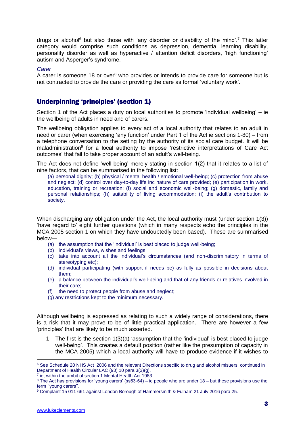drugs or alcohol<sup>6</sup> but also those with 'any disorder or disability of the mind'.<sup>7</sup> This latter category would comprise such conditions as depression, dementia, learning disability, personality disorder as well as hyperactive / attention deficit disorders, 'high functioning' autism and Asperger's syndrome.

#### *Carer*

A carer is someone 18 or over<sup>8</sup> who provides or intends to provide care for someone but is not contracted to provide the care or providing the care as formal 'voluntary work'.

### Underpinning 'principles' (section 1)

Section 1 of the Act places a duty on local authorities to promote 'individual wellbeing' – ie the wellbeing of adults in need and of carers.

The wellbeing obligation applies to every act of a local authority that relates to an adult in need or carer (when exercising 'any function' under Part 1 of the Act ie sections 1-80) – from a telephone conversation to the setting by the authority of its social care budget. It will be maladministration<sup>9</sup> for a local authority to impose 'restrictive interpretations of Care Act outcomes' that fail to take proper account of an adult's well-being.

The Act does not define 'well-being' merely stating in section 1(2) that it relates to a list of nine factors, that can be summarised in the following list:

(a) personal dignity; (b) physical / mental health / emotional well-being; (c) protection from abuse and neglect; (d) control over day-to-day life inc nature of care provided; (e) participation in work, education, training or recreation; (f) social and economic well-being; (g) domestic, family and personal relationships; (h) suitability of living accommodation; (i) the adult's contribution to society.

When discharging any obligation under the Act, the local authority must (under section 1(3)) 'have regard to' eight further questions (which in many respects echo the principles in the MCA 2005 section 1 on which they have undoubtedly been based). These are summarised below—

- (a) the assumption that the 'individual' is best placed to judge well-being;
- (b) individual's views, wishes and feelings;
- (c) take into account all the individual's circumstances (and non-discriminatory in terms of stereotyping etc);
- (d) individual participating (with support if needs be) as fully as possible in decisions about them;
- (e) a balance between the individual's well-being and that of any friends or relatives involved in their care;
- (f) the need to protect people from abuse and neglect;
- (g) any restrictions kept to the minimum necessary.

Although wellbeing is expressed as relating to such a widely range of considerations, there is a risk that it may prove to be of little practical application. There are however a few 'principles' that are likely to be much asserted.

1. The first is the section 1(3)(a) 'assumption that the 'individual' is best placed to judge well-being'. This creates a default position (rather like the presumption of capacity in the MCA 2005) which a local authority will have to produce evidence if it wishes to

<sup>7</sup> ie, within the ambit of section 1 Mental Health Act 1983.

<sup>6</sup> See Schedule 20 NHS Act 2006 and the relevant Directions specific to drug and alcohol misuers, continued in Department of Health Circular LAC (93) 10 para 3(3)(g).

<sup>8</sup> The Act has provisions for 'young carers' (ss63-64) – ie people who are under 18 – but these provisions use the term ''young carers''.

<sup>&</sup>lt;sup>9</sup> Complaint 15 011 661 against London Borough of Hammersmith & Fulham 21 July 2016 para 25.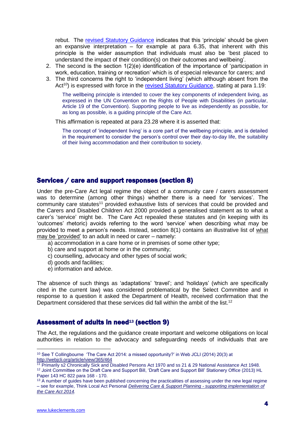rebut. The [revised Statutory Guidance](https://www.gov.uk/guidance/care-and-support-statutory-guidance) indicates that this 'principle' should be given an expansive interpretation – for example at para 6.35, that inherent with this principle is the wider assumption that individuals must also be 'best placed to understand the impact of their condition(s) on their outcomes and wellbeing'.

- 2. The second is the section 1(2)(e) identification of the importance of 'participation in work, education, training or recreation' which is of especial relevance for carers; and
- 3. The third concerns the right to 'independent living' (which although absent from the Act<sup>10</sup>) is expressed with force in the [revised Statutory Guidance,](https://www.gov.uk/guidance/care-and-support-statutory-guidance) stating at para 1.19:

The wellbeing principle is intended to cover the key components of independent living, as expressed in the UN Convention on the Rights of People with Disabilities (in particular, Article 19 of the Convention). Supporting people to live as independently as possible, for as long as possible, is a guiding principle of the Care Act.

This affirmation is repeated at para 23.28 where it is asserted that:

The concept of 'independent living' is a core part of the wellbeing principle, and is detailed in the requirement to consider the person's control over their day-to-day life, the suitability of their living accommodation and their contribution to society.

### Services / care and support responses (section 8)

Under the pre-Care Act legal regime the object of a community care / carers assessment was to determine (among other things) whether there is a need for 'services'. The community care statutes<sup>11</sup> provided exhaustive lists of services that could be provided and the Carers and Disabled Children Act 2000 provided a generalised statement as to what a carer's 'service' might be. The Care Act repealed these statutes and (in keeping with its 'outcomes' rhetoric) avoids referring to the word 'service' when describing what may be provided to meet a person's needs. Instead, section 8(1) contains an illustrative list of what may be 'provided' to an adult in need or carer – namely:

- a) accommodation in a care home or in premises of some other type;
- b) care and support at home or in the community;
- c) counselling, advocacy and other types of social work;
- d) goods and facilities;
- e) information and advice.

The absence of such things as 'adaptations' 'travel'; and 'holidays' (which are specifically cited in the current law) was considered problematical by the Select Committee and in response to a question it asked the Department of Health, received confirmation that the Department considered that these services did fall within the ambit of the list.<sup>12</sup>

### Assessment of adults in need<sup>13</sup> (section 9)

The Act, the regulations and the guidance create important and welcome obligations on local authorities in relation to the advocacy and safeguarding needs of individuals that are

<sup>10</sup> See T Collingbourne 'The Care Act 2014: a missed opportunity?' in Web JCLI (2014) 20(3) at <http://webjcli.org/article/view/365/464>

<sup>11</sup> Primarily s2 Chronically Sick and Disabled Persons Act 1970 and ss 21 & 29 National Assistance Act 1948. 12 Joint Committee on the Draft Care and Support Bill, 'Draft Care and Support Bill' Stationery Office (2013) HL Paper 143 HC 822 para 168 - 170.

<sup>&</sup>lt;sup>13</sup> A number of guides have been published concerning the practicalities of assessing under the new legal regime – see for example, Think Local Act Personal *[Delivering Care & Support Planning -](http://www.thinklocalactpersonal.org.uk/Latest/Resource/?cid=10464) supporting implementation of [the Care Act 2014.](http://www.thinklocalactpersonal.org.uk/Latest/Resource/?cid=10464)*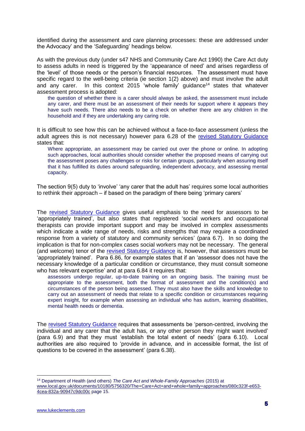identified during the assessment and care planning processes: these are addressed under the Advocacy' and the 'Safeguarding' headings below.

As with the previous duty (under s47 NHS and Community Care Act 1990) the Care Act duty to assess adults in need is triggered by the 'appearance of need' and arises regardless of the 'level' of those needs or the person's financial resources. The assessment must have specific regard to the well-being criteria (ie section 1(2) above) and must involve the adult and any carer. In this context 2015 'whole family' guidance<sup>14</sup> states that whatever assessment process is adopted:

the question of whether there is a carer should always be asked, the assessment must include any carer, and there must be an assessment of their needs for support where it appears they have such needs. There also needs to be a check on whether there are any children in the household and if they are undertaking any caring role.

It is difficult to see how this can be achieved without a face-to-face assessment (unless the adult agrees this is not necessary) however para 6.28 of the [revised Statutory Guidance](https://www.gov.uk/guidance/care-and-support-statutory-guidance) states that:

Where appropriate, an assessment may be carried out over the phone or online. In adopting such approaches, local authorities should consider whether the proposed means of carrying out the assessment poses any challenges or risks for certain groups, particularly when assuring itself that it has fulfilled its duties around safeguarding, independent advocacy, and assessing mental capacity.

The section 9(5) duty to 'involve' 'any carer that the adult has' requires some local authorities to rethink their approach – if based on the paradigm of there being 'primary carers'

The [revised Statutory Guidance](https://www.gov.uk/guidance/care-and-support-statutory-guidance) gives useful emphasis to the need for assessors to be 'appropriately trained', but also states that registered 'social workers and occupational therapists can provide important support and may be involved in complex assessments which indicate a wide range of needs, risks and strengths that may require a coordinated response from a variety of statutory and community services' (para 6.7). In so doing the implication is that for non-complex cases social workers may not be necessary. The general (and welcome) tenor of the [revised Statutory Guidance](https://www.gov.uk/guidance/care-and-support-statutory-guidance) is, however, that assessors must be 'appropriately trained'. Para 6.86, for example states that if an 'assessor does not have the necessary knowledge of a particular condition or circumstance, they must consult someone who has relevant expertise' and at para 6.84 it requires that:

assessors undergo regular, up-to-date training on an ongoing basis. The training must be appropriate to the assessment, both the format of assessment and the condition(s) and circumstances of the person being assessed. They must also have the skills and knowledge to carry out an assessment of needs that relate to a specific condition or circumstances requiring expert insight, for example when assessing an individual who has autism, learning disabilities, mental health needs or dementia.

The [revised Statutory Guidance](https://www.gov.uk/guidance/care-and-support-statutory-guidance) requires that assessments be 'person-centred, involving the individual and any carer that the adult has, or any other person they might want involved' (para 6.9) and that they must 'establish the total extent of needs' (para 6.10). Local authorities are also required to 'provide in advance, and in accessible format, the list of questions to be covered in the assessment' (para 6.38).

<sup>14</sup> Department of Health (and others) *The Care Act and Whole-Family Approaches* (2015) at [www.local.gov.uk/documents/10180/5756320/The+Care+Act+and+whole+family+approaches/080c323f-e653-](http://www.local.gov.uk/documents/10180/5756320/The+Care+Act+and+whole+family+approaches/080c323f-e653-4cea-832a-90947c9dc00c) [4cea-832a-90947c9dc00c](http://www.local.gov.uk/documents/10180/5756320/The+Care+Act+and+whole+family+approaches/080c323f-e653-4cea-832a-90947c9dc00c) page 15.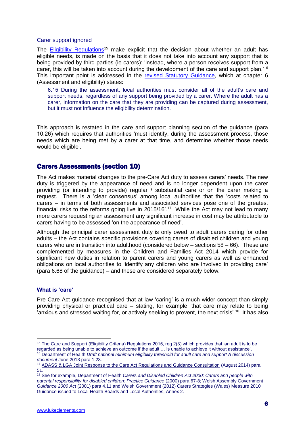#### Carer support ignored

The [Eligibility Regulations](http://www.legislation.gov.uk/uksi/2015/313/pdfs/uksi_20150313_en.pdf)<sup>15</sup> make explicit that the decision about whether an adult has eligible needs, is made on the basis that it does not take into account any support that is being provided by third parties (ie carers): 'instead, where a person receives support from a carer, this will be taken into account during the development of the care and support plan.<sup>16</sup> This important point is addressed in the [revised Statutory Guidance,](https://www.gov.uk/guidance/care-and-support-statutory-guidance) which at chapter 6 (Assessment and eligibility) states:

6.15 During the assessment, local authorities must consider all of the adult's care and support needs, regardless of any support being provided by a carer. Where the adult has a carer, information on the care that they are providing can be captured during assessment, but it must not influence the eligibility determination.

This approach is restated in the care and support planning section of the guidance (para 10.26) which requires that authorities 'must identify, during the assessment process, those needs which are being met by a carer at that time, and determine whether those needs would be eligible'.

### Carers Assessments (section 10)

The Act makes material changes to the pre-Care Act duty to assess carers' needs. The new duty is triggered by the appearance of need and is no longer dependent upon the carer providing (or intending to provide) regular / substantial care or on the carer making a request. There is a 'clear consensus' among local authorities that the 'costs related to carers – in terms of both assessments and associated services pose one of the greatest financial risks to the reforms going live in  $2015/16$ <sup>'.17</sup> While the Act may not lead to many more carers requesting an assessment any significant increase in cost may be attributable to carers having to be assessed 'on the appearance of need'.

Although the principal carer assessment duty is only owed to adult carers caring for other adults – the Act contains specific provisions covering carers of disabled children and young carers who are in transition into adulthood (considered below – sections 58 – 66). These are complemented by measures in the Children and Families Act 2014 which provide for significant new duties in relation to parent carers and young carers as well as enhanced obligations on local authorities to 'identify any children who are involved in providing care' (para 6.68 of the guidance) – and these are considered separately below.

### **What is 'care'**

1

Pre-Care Act guidance recognised that at law 'caring' is a much wider concept than simply providing physical or practical care – stating, for example, that care may relate to being 'anxious and stressed waiting for, or actively seeking to prevent, the next crisis'.<sup>18</sup> It has also

<sup>&</sup>lt;sup>15</sup> The Care and Support (Eligibility Criteria) Regulations 2015, reg 2(3) which provides that 'an adult is to be regarded as being unable to achieve an outcome if the adult … is unable to achieve it without assistance'.

<sup>16</sup> Department of Health *Draft national minimum eligibility threshold for adult care and support A discussion document* June 2013 para 1.23.

<sup>17</sup> [ADASS & LGA Joint Response to the Care Act Regulations and Guidance Consultation](http://www.adass.org.uk/uploadedFiles/adass_content/publications/consultations/consultations_2014/Joint%20ADASS%20LGA%20Care%20Act%20Regulations%20and%20Guidance%20Consultation%20Response.pdf) (August 2014) para 51.

<sup>18</sup> See for example, Department of Health *Carers and Disabled Children Act 2000: Carers and people with parental responsibility for disabled children: Practice Guidance* (2000) para 67-8; Welsh Assembly Government *Guidance 2000 Act* (2001) para 4.11 and Welsh Government (2012) Carers Strategies (Wales) Measure 2010 Guidance issued to Local Health Boards and Local Authorities, Annex 2.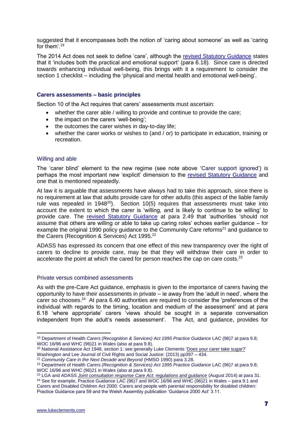suggested that it encompasses both the notion of 'caring about someone' as well as 'caring for them'.<sup>19</sup>

The 2014 Act does not seek to define 'care', although the [revised Statutory Guidance](https://www.gov.uk/guidance/care-and-support-statutory-guidance) states that it 'includes both the practical and emotional support' (para 6.18). Since care is directed towards enhancing individual well-being, this brings with it a requirement to consider the section 1 checklist – including the 'physical and mental health and emotional well-being'.

### **Carers assessments – basic principles**

Section 10 of the Act requires that carers' assessments must ascertain:

- whether the carer able / willing to provide and continue to provide the care;
- the impact on the carers 'well-being':
- the outcomes the carer wishes in day-to-day life;
- whether the carer works or wishes to (and / or) to participate in education, training or recreation.

### Willing and able

The 'carer blind' element to the new regime (see note above 'Carer support ignored') is perhaps the most important new 'explicit' dimension to the [revised Statutory Guidance](https://www.gov.uk/guidance/care-and-support-statutory-guidance) and one that is mentioned repeatedly.

At law it is arguable that assessments have always had to take this approach, since there is no requirement at law that adults provide care for other adults (this aspect of the liable family rule was repealed in  $1948^{20}$ ). Section  $10(5)$  requires that assessments must take into account the extent to which the carer is 'willing, and is likely to continue to be willing' to provide care. The [revised Statutory Guidance](https://www.gov.uk/guidance/care-and-support-statutory-guidance) at para 2.49 that 'authorities 'should not assume that others are willing or able to take up caring roles' echoes earlier guidance – for example the original 1990 policy guidance to the Community Care reforms<sup>21</sup> and guidance to the Carers (Recognition & Services) Act 1995.<sup>22</sup>

ADASS has expressed its concern that one effect of this new transparency over the right of carers to decline to provide care, may be that they will withdraw their care in order to accelerate the point at which the cared for person reaches the cap on care costs. $2<sup>3</sup>$ 

### Private versus combined assessments

As with the pre-Care Act guidance, emphasis is given to the importance of carers having the opportunity to have their assessments in private – ie away from the 'adult in need', where the carer so chooses.<sup>24</sup> At para 6.40 authorities are required to consider the 'preferences of the individual with regards to the timing, location and medium of the assessment' and at para 6.18 'where appropriate' carers 'views should be sought in a separate conversation independent from the adult's needs assessment'. The Act, and guidance, provides for

<sup>19</sup> Department of Health *Carers (Recognition & Services) Act 1995 Practice Guidance* LAC (96)7 at para 9.8; WOC 16/96 and WHC (96)21 in Wales (also at para 9.8).

<sup>&</sup>lt;sup>20</sup> National Assistance Act 1948, section 1: see generally Luke Clements 'Does your carer take sugar?'

Washington and Lee Journal of Civil Rights and Social Justice: (2013) pp397 - 434.

<sup>21</sup> *Community Care in the Next Decade and Beyond* (HMSO 1990) para 3.28.

<sup>22</sup> Department of Health *Carers (Recognition & Services) Act 1995 Practice Guidance* LAC (96)7 at para 9.8; WOC 16/96 and WHC (96)21 in Wales (also at para 9.8).

<sup>23</sup> LGA and ADASS *[Joint consultation response Care Act: regulations and guidance](http://www.adass.org.uk/uploadedFiles/adass_content/publications/consultations/consultations_2014/Joint%20ADASS%20LGA%20Care%20Act%20Regulations%20and%20Guidance%20Consultation%20Response.pdf)* (August 2014) at para 31.

<sup>&</sup>lt;sup>24</sup> See for example, Practice Guidance LAC (96)7 and WOC 16/96 and WHC (96)21 in Wales – para 9.1 and Carers and Disabled Children Act 2000: Carers and people with parental responsibility for disabled children: Practice Guidance para 59 and the Welsh Assembly publication 'Guidance 2000 Act' 3.11.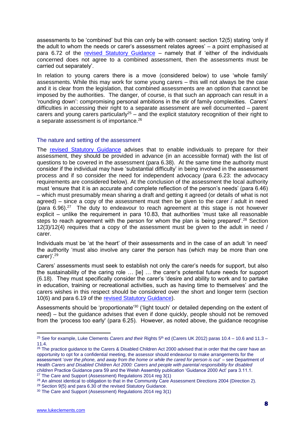assessments to be 'combined' but this can only be with consent: section 12(5) stating 'only if the adult to whom the needs or carer's assessment relates agrees' – a point emphasised at para 6.72 of the [revised Statutory Guidance](https://www.gov.uk/guidance/care-and-support-statutory-guidance) – namely that if 'either of the individuals concerned does not agree to a combined assessment, then the assessments must be carried out separately'.

In relation to young carers there is a move (considered below) to use 'whole family' assessments. While this may work for some young carers – this will not always be the case and it is clear from the legislation, that combined assessments are an option that cannot be imposed by the authorities. The danger, of course, is that such an approach can result in a 'rounding down': compromising personal ambitions in the stir of family complexities. Carers' difficulties in accessing their right to a separate assessment are well documented – parent carers and young carers particularly<sup>25</sup> – and the explicit statutory recognition of their right to a separate assessment is of importance.<sup>26</sup>

### The nature and setting of the assessment

The [revised Statutory Guidance](https://www.gov.uk/guidance/care-and-support-statutory-guidance) advises that to enable individuals to prepare for their assessment, they should be provided in advance (in an accessible format) with the list of questions to be covered in the assessment (para 6.38). At the same time the authority must consider if the individual may have 'substantial difficulty' in being involved in the assessment process and if so consider the need for independent advocacy (para 6.23: the advocacy requirements are considered below). At the conclusion of the assessment the local authority must 'ensure that it is an accurate and complete reflection of the person's needs' (para 6.46) – which must presumably mean sharing a draft and getting it agreed (or details of what is not agreed) – since a copy of the assessment must then be given to the carer / adult in need (para  $6.96$ ).<sup>27</sup> The duty to endeavour to reach agreement at this stage is not however explicit – unlike the requirement in para 10.83, that authorities 'must take all reasonable steps to reach agreement with the person for whom the plan is being prepared'.<sup>28</sup> Section 12(3)/12(4) requires that a copy of the assessment must be given to the adult in need / carer.

Individuals must be 'at the heart' of their assessments and in the case of an adult 'in need' the authority 'must also involve any carer the person has (which may be more than one carer)'.<sup>29</sup>

Carers' assessments must seek to establish not only the carer's needs for support, but also the sustainability of the caring role … [ie] … the carer's potential future needs for support (6.18). They must specifically consider the carer's 'desire and ability to work and to partake in education, training or recreational activities, such as having time to themselves' and the carers wishes in this respect should be considered over the short and longer term (section 10(6) and para 6.19 of the [revised Statutory Guidance\)](https://www.gov.uk/guidance/care-and-support-statutory-guidance).

Assessments should be 'proportionate'<sup>30</sup> ('light touch' or detailed depending on the extent of need) – but the guidance advises that even if done quickly, people should not be removed from the 'process too early' (para 6.25). However, as noted above, the guidance recognise

<sup>&</sup>lt;sup>25</sup> See for example, Luke Clements *Carers and their* Rights 5<sup>th</sup> ed (Carers UK 2012) paras 10.4 – 10.6 and 11.3 – 11.4.

<sup>&</sup>lt;sup>26</sup> The practice guidance to the Carers & Disabled Children Act 2000 advised that in order that the carer have an opportunity to opt for a confidential meeting, the assessor should endeavour to make arrangements for the assessment '*over the phone, and away from the home or while the cared for person is out*' – see Department of Health *Carers and Disabled Children Act 2000: Carers and people with parental responsibility for disabled children* Practice Guidance para 59 and the Welsh Assembly publication 'Guidance 2000 Act' para 3.11.1. <sup>27</sup> The Care and Support (Assessment) Regulations 2014 reg 3(1)

<sup>&</sup>lt;sup>28</sup> An almost identical to obligation to that in the Community Care Assessment Directions 2004 (Direction 2).

<sup>29</sup> Section 9(5) and para 6.30 of the revised Statutory Guidance.

<sup>30</sup> The Care and Support (Assessment) Regulations 2014 reg 3(1)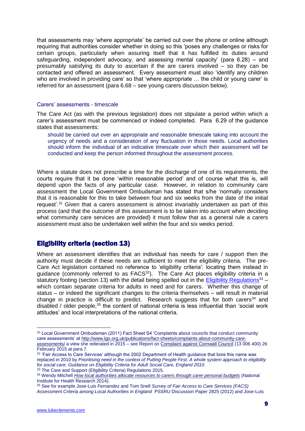that assessments may 'where appropriate' be carried out over the phone or online although requiring that authorities consider whether in doing so this 'poses any challenges or risks for certain groups, particularly when assuring itself that it has fulfilled its duties around safeguarding, independent advocacy, and assessing mental capacity' (para 6.28) – and presumably satisfying its duty to ascertain if the are carers involved – so they can be contacted and offered an assessment. Every assessment must also 'identify any children who are involved in providing care' so that 'where appropriate … the child or young carer' is referred for an assessment (para 6.68 – see young carers discussion below).

#### Carers' assessments - timescale

The Care Act (as with the previous legislation) does not stipulate a period within which a carer's assessment must be commenced or indeed completed. Para 6.29 of the guidance states that assessments:

should be carried out over an appropriate and reasonable timescale taking into account the urgency of needs and a consideration of any fluctuation in those needs. Local authorities should inform the individual of an indicative timescale over which their assessment will be conducted and keep the person informed throughout the assessment process.

Where a statute does not prescribe a time for the discharge of one of its requirements, the courts require that it be done 'within reasonable period' and of course what this is, will depend upon the facts of any particular case. However, in relation to community care assessment the Local Government Ombudsman has stated that s/he 'normally considers that it is reasonable for this to take between four and six weeks from the date of the initial request'.<sup>31</sup> Given that a carers assessment is almost invariably undertaken as part of this process (and that the outcome of this assessment is to be taken into account when deciding what community care services are provided) it must follow that as a general rule a carers assessment must also be undertaken well within the four and six weeks period.

### Eligibility criteria (section 13)

Where an assessment identifies that an individual has needs for care / support then the authority must decide if these needs are sufficient to meet the eligibility criteria. The pre-Care Act legislation contained no reference to 'eligibility criteria': locating them instead in guidance (commonly referred to as FACS<sup>32</sup>). The Care Act places eligibility criteria in a statutory footing (section 13) with the detail being spelled out in the [Eligibility Regulations](http://www.legislation.gov.uk/uksi/2015/313/pdfs/uksi_20150313_en.pdf)<sup>33</sup> – which contain separate criteria for adults in need and for carers. Whether this change of status – or indeed the significant changes to the criteria themselves – will result in material change in practice is difficult to predict. Research suggests that for both carers<sup>34</sup> and disabled / older people.<sup>35</sup> the content of national criteria is less influential than 'social work attitudes' and local interpretations of the national criteria.

<sup>&</sup>lt;sup>31</sup> Local Government Ombudsman (2011) Fact Sheet S4 'Complaints about councils that conduct community care assessments' at [http://www.lgo.org.uk/publications/fact-sheets/complaints-about-community-care](http://www.lgo.org.uk/publications/fact-sheets/complaints-about-community-care-assessments/)[assessments/](http://www.lgo.org.uk/publications/fact-sheets/complaints-about-community-care-assessments/) a view she reiterated in 2015 – see Report o[n Complaint against Cornwall Council](http://www.lgo.org.uk/decisions/adult-care-services/assessment-and-care-plan/13-006-400) (13 006 400) 26 February 2015 at para 7.

<sup>&</sup>lt;sup>32</sup> 'Fair Access to Care Services' although the 2002 Department of Health guidance that bore this name was replaced in 2010 by *Prioritising need in the context of Putting People First: A whole system approach to eligibility for social care. Guidance on Eligibility Criteria for Adult Social Care, England 2010.*

<sup>&</sup>lt;sup>33</sup> The Care and Support (Eligibility Criteria) Regulations 2015.

<sup>34</sup> Wendy Mitchell *[How local authorities allocate resources to carers through carer personal budgets](http://www.sscr.nihr.ac.uk/PDF/RFAD3.pdf)* (National Institute for Health Research 2014).

<sup>35</sup> See for example Jose-Luis Fernandez and Tom Snell *Survey of Fair Access to Care Services (FACS) Assessment Criteria among Local Authorities in England* PSSRU Discussion Paper 2825 (2012) and Jose-Luis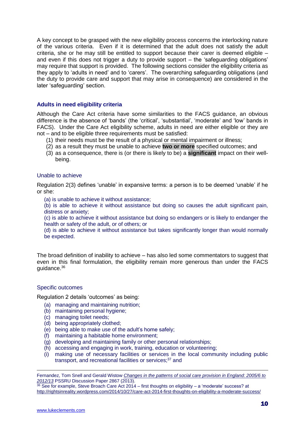A key concept to be grasped with the new eligibility process concerns the interlocking nature of the various criteria. Even if it is determined that the adult does not satisfy the adult criteria, she or he may still be entitled to support because their carer is deemed eligible – and even if this does not trigger a duty to provide support – the 'safeguarding obligations' may require that support is provided. The following sections consider the eligibility criteria as they apply to 'adults in need' and to 'carers'. The overarching safeguarding obligations (and the duty to provide care and support that may arise in consequence) are considered in the later 'safeguarding' section.

### **Adults in need eligibility criteria**

Although the Care Act criteria have some similarities to the FACS guidance, an obvious difference is the absence of 'bands' (the 'critical', 'substantial', 'moderate' and 'low' bands in FACS). Under the Care Act eligibility scheme, adults in need are either eligible or they are not – and to be eligible three requirements must be satisfied:

- (1) their needs must be the result of a physical or mental impairment or illness;
- (2) as a result they must be unable to achieve **two or more** specified outcomes; and
- (3) as a consequence, there is (or there is likely to be) a **significant** impact on their wellbeing.

### Unable to achieve

Regulation 2(3) defines 'unable' in expansive terms: a person is to be deemed 'unable' if he or she:

(a) is unable to achieve it without assistance;

(b) is able to achieve it without assistance but doing so causes the adult significant pain, distress or anxiety;

(c) is able to achieve it without assistance but doing so endangers or is likely to endanger the health or safety of the adult, or of others; or

(d) is able to achieve it without assistance but takes significantly longer than would normally be expected.

The broad definition of inability to achieve – has also led some commentators to suggest that even in this final formulation, the eligibility remain more generous than under the FACS guidance.<sup>36</sup>

### Specific outcomes

Regulation 2 details 'outcomes' as being:

- (a) managing and maintaining nutrition;
- (b) maintaining personal hygiene;
- (c) managing toilet needs;
- (d) being appropriately clothed;
- (e) being able to make use of the adult's home safely;
- (f) maintaining a habitable home environment;
- (g) developing and maintaining family or other personal relationships;
- (h) accessing and engaging in work, training, education or volunteering;
- (i) making use of necessary facilities or services in the local community including public transport, and recreational facilities or services;<sup>37</sup> and

Fernandez, Tom Snell and Gerald Wistow *[Changes in the patterns of social care provision in England: 2005/6 to](http://www.pssru.ac.uk/archive/pdf/dp2867.pdf)  [2012/13](http://www.pssru.ac.uk/archive/pdf/dp2867.pdf)* PSSRU Discussion Paper 2867 (2013).

 $36$  See for example, Steve Broach Care Act 2014 – first thoughts on eligibility – a 'moderate' success? at <http://rightsinreality.wordpress.com/2014/10/27/care-act-2014-first-thoughts-on-eligibility-a-moderate-success/>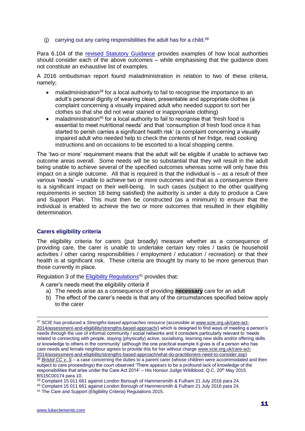(i) carrying out any caring responsibilities the adult has for a child. $38$ 

Para 6.104 of the [revised Statutory Guidance](https://www.gov.uk/guidance/care-and-support-statutory-guidance) provides examples of how local authorities should consider each of the above outcomes – while emphasising that the guidance does not constitute an exhaustive list of examples.

A 2016 ombudsman report found maladministration in relation to two of these criteria, namely;

- maladministration<sup>39</sup> for a local authority to fail to recognise the importance to an adult's personal dignity of wearing clean, presentable and appropriate clothes (a complaint concerning a visually impaired adult who needed support to sort her clothes so that she did not wear stained or inappropriate clothing)
- maladministration<sup>40</sup> for a local authority to fail to recognise that 'fresh food is essential to meet nutritional needs' and that 'consumption of fresh food once it has started to perish carries a significant health risk' (a complaint concerning a visually impaired adult who needed help to check the contents of her fridge, read cooking instructions and on occasions to be escorted to a local shopping centre.

The 'two or more' requirement means that the adult will be eligible if unable to achieve two outcome areas overall. Some needs will be so substantial that they will result in the adult being unable to achieve several of the specified outcomes whereas some will only have this impact on a single outcome. All that is required is that the individual is – as a result of their various 'needs' – unable to achieve two or more outcomes and that as a consequence there is a significant impact on their well-being. In such cases (subject to the other qualifying requirements in section 18 being satisfied) the authority is under a duty to produce a Care and Support Plan. This must then be constructed (as a minimum) to ensure that the individual is enabled to achieve the two or more outcomes that resulted in their eligibility determination.

### **Carers eligibility criteria**

The eligibility criteria for carers (put broadly) measure whether as a consequence of providing care, the carer is unable to undertake certain key roles / tasks (ie household activities / other caring responsibilities / employment / education / recreation) or that their health is at significant risk. These criteria are thought by many to be more generous than those currently in place.

Regulation 3 of the [Eligibility Regulations](http://www.legislation.gov.uk/uksi/2015/313/pdfs/uksi_20150313_en.pdf)<sup>41</sup> provides that:

A carer's needs meet the eligibility criteria if

- a) The needs arise as a consequence of providing **necessary** care for an adult
- b) The effect of the carer's needs is that any of the circumstances specified below apply to the carer

<sup>37</sup> SCIE has produced a *Strengths-based approaches* resource (accessible at [www.scie.org.uk/care-act-](http://www.scie.org.uk/care-act-2014/assessment-and-eligibility/strengths-based-approach/)[2014/assessment-and-eligibility/strengths-based-approach/\)](http://www.scie.org.uk/care-act-2014/assessment-and-eligibility/strengths-based-approach/) which is designed to find ways of meeting a person's needs through the use of informal community / social networks and it considers particularly relevant to 'needs related to connecting with people, staying (physically) active, socialising, learning new skills and/or offering skills or knowledge to others in the community' (although the one practical example it gives is of a person who has care needs and female neighbour agrees to provide this for her without charge [www.scie.org.uk/care-act-](http://www.scie.org.uk/care-act-2014/assessment-and-eligibility/strengths-based-approach/what-do-practitioners-need-to-consider.asp)[2014/assessment-and-eligibility/strengths-based-approach/what-do-practitioners-need-to-consider.asp\)](http://www.scie.org.uk/care-act-2014/assessment-and-eligibility/strengths-based-approach/what-do-practitioners-need-to-consider.asp)

<sup>38</sup> *[Bristol CC v. S](mailto:http://www.bailii.org/ew/cases/EWFC/OJ/2015/B64.html)* – a case concerning the duties to a parent carer (whose children were accommodated and then subject to care proceedings) the court observed 'There appears to be a profound lack of knowledge of the responsibilities that arise under the Care Act 2014' – His Honour Judge Wildblood, Q.C. 20<sup>th</sup> May 2015 BS15C00174 para 10.

<sup>39</sup> Complaint 15 011 661 against London Borough of Hammersmith & Fulham 21 July 2016 para 24.

<sup>40</sup> Complaint 15 011 661 against London Borough of Hammersmith & Fulham 21 July 2016 para 24.

<sup>41</sup> The Care and Support (Eligibility Criteria) Regulations 2015.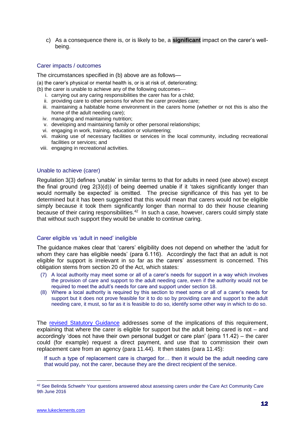c) As a consequence there is, or is likely to be, a **significant** impact on the carer's wellbeing.

### Carer impacts / outcomes

The circumstances specified in (b) above are as follows—

(a) the carer's physical or mental health is, or is at risk of, deteriorating;

- (b) the carer is unable to achieve any of the following outcomes
	- i. carrying out any caring responsibilities the carer has for a child;
	- ii. providing care to other persons for whom the carer provides care;
	- iii. maintaining a habitable home environment in the carers home (whether or not this is also the home of the adult needing care);
	- iv. managing and maintaining nutrition;
	- v. developing and maintaining family or other personal relationships;
	- vi. engaging in work, training, education or volunteering;
	- vii. making use of necessary facilities or services in the local community, including recreational facilities or services; and
	- viii. engaging in recreational activities.

#### Unable to achieve (carer)

Regulation 3(3) defines 'unable' in similar terms to that for adults in need (see above) except the final ground (reg 2(3)(d)) of being deemed unable if it 'takes significantly longer than would normally be expected' is omitted. The precise significance of this has yet to be determined but it has been suggested that this would mean that carers would not be eligible simply because it took them significantly longer than normal to do their house cleaning because of their caring responsibilities. $42$  In such a case, however, carers could simply state that without such support they would be unable to continue caring.

### Carer eligible vs 'adult in need' ineligible

The guidance makes clear that 'carers' eligibility does not depend on whether the 'adult for whom they care has eligible needs' (para 6.116). Accordingly the fact that an adult is not eligible for support is irrelevant in so far as the carers' assessment is concerned. This obligation stems from section 20 of the Act, which states:

- (7) A local authority may meet some or all of a carer's needs for support in a way which involves the provision of care and support to the adult needing care, even if the authority would not be required to meet the adult's needs for care and support under section 18.
- (8) Where a local authority is required by this section to meet some or all of a carer's needs for support but it does not prove feasible for it to do so by providing care and support to the adult needing care, it must, so far as it is feasible to do so, identify some other way in which to do so.

The [revised Statutory Guidance](https://www.gov.uk/guidance/care-and-support-statutory-guidance) addresses some of the implications of this requirement, explaining that where the carer is eligible for support but the adult being cared is not – and accordingly 'does not have their own personal budget or care plan' (para 11.42) – the carer could (for example) request a direct payment, and use that to commission their own replacement care from an agency (para 11.44). It then states (para 11.45):

If such a type of replacement care is charged for… then it would be the adult needing care that would pay, not the carer, because they are the direct recipient of the service.

<sup>42</sup> See Belinda Schwehr Your questions answered about assessing carers under the Care Act Community Care 9th June 2016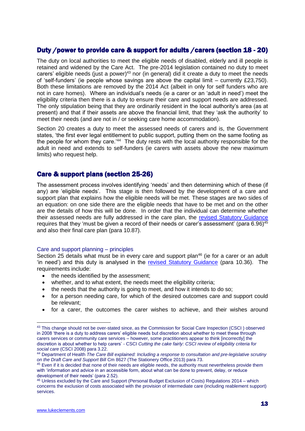### Duty /power to provide care & support for adults /carers (section 18 - 20)

The duty on local authorities to meet the eligible needs of disabled, elderly and ill people is retained and widened by the Care Act. The pre-2014 legislation contained no duty to meet carers' eligible needs (just a power)<sup>43</sup> nor (in general) did it create a duty to meet the needs of 'self-funders' (ie people whose savings are above the capital limit – currently £23,750). Both these limitations are removed by the 2014 Act (albeit in only for self funders who are not in care homes). Where an individual's needs (ie a carer or an 'adult in need') meet the eligibility criteria then there is a duty to ensure their care and support needs are addressed. The only stipulation being that they are ordinarily resident in the local authority's area (as at present) and that if their assets are above the financial limit, that they 'ask the authority' to meet their needs (and are not in / or seeking care home accommodation).

Section 20 creates a duty to meet the assessed needs of carers and is, the Government states, 'the first ever legal entitlement to public support, putting them on the same footing as the people for whom they care.<sup>'44</sup> The duty rests with the local authority responsible for the adult in need and extends to self-funders (ie carers with assets above the new maximum limits) who request help.

### Care & support plans (section 25-26)

The assessment process involves identifying 'needs' and then determining which of these (if any) are 'eligible needs'. This stage is then followed by the development of a care and support plan that explains how the eligible needs will be met. These stages are two sides of an equation: on one side there are the eligible needs that have to be met and on the other are the details of how this will be done. In order that the individual can determine whether their assessed needs are fully addressed in the care plan, the [revised Statutory Guidance](https://www.gov.uk/guidance/care-and-support-statutory-guidance) requires that they 'must be given a record of their needs or carer's assessment' (para 6.96)<sup>45</sup> and also their final care plan (para 10.87).

### Care and support planning – principles

Section 25 details what must be in every care and support plan<sup>46</sup> (ie for a carer or an adult 'in need') and this duty is analysed in the [revised Statutory Guidance](https://www.gov.uk/guidance/care-and-support-statutory-guidance) (para 10.36). The requirements include:

- the needs identified by the assessment;
- whether, and to what extent, the needs meet the eligibility criteria;
- the needs that the authority is going to meet, and how it intends to do so;
- for a person needing care, for which of the desired outcomes care and support could be relevant;
- for a carer, the outcomes the carer wishes to achieve, and their wishes around

<sup>&</sup>lt;sup>43</sup> This change should not be over-stated since, as the Commission for Social Care Inspection (CSCI) observed in 2008 'there is a duty to address carers' eligible needs but discretion about whether to meet these through carers services or community care services – however, some practitioners appear to think [incorrectly] the discretion is about whether to help carers' - CSCI *Cutting the cake fairly: CSCI review of eligibility criteria for social care* (CSCI 2008) para 3.22.

<sup>44</sup> Department of Health *The Care Bill explained: Including a response to consultation and pre-legislative scrutiny on the Draft Care and Support Bill* Cm 8627 (The Stationery Office 2013) para 73.

<sup>&</sup>lt;sup>45</sup> Even if it is decided that none of their needs are eligible needs, the authority must nevertheless provide them with 'information and advice in an accessible form, about what can be done to prevent, delay, or reduce development of their needs' (para 2.52).

<sup>46</sup> Unless excluded by the Care and Support (Personal Budget Exclusion of Costs) Regulations 2014 – which concerns the exclusion of costs associated with the provision of intermediate care (including reablement support) services.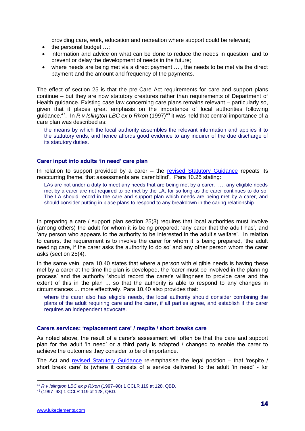providing care, work, education and recreation where support could be relevant;

- $\bullet$  the personal budget  $\dots$
- information and advice on what can be done to reduce the needs in question, and to prevent or delay the development of needs in the future;
- where needs are being met via a direct payment … , the needs to be met via the direct payment and the amount and frequency of the payments.

The effect of section 25 is that the pre-Care Act requirements for care and support plans continue – but they are now statutory creatures rather than requirements of Department of Health guidance. Existing case law concerning care plans remains relevant – particularly so, given that it places great emphasis on the importance of local authorities following guidance.<sup>47</sup>. In R v Islington LBC ex p Rixon (1997)<sup>48</sup> it was held that central importance of a care plan was described as:

the means by which the local authority assembles the relevant information and applies it to the statutory ends, and hence affords good evidence to any inquirer of the due discharge of its statutory duties.

### **Carer input into adults 'in need' care plan**

In relation to support provided by a carer – the [revised Statutory Guidance](https://www.gov.uk/guidance/care-and-support-statutory-guidance) repeats its reoccurring theme, that assessments are 'carer blind'. Para 10.26 stating:

LAs are not under a duty to meet any needs that are being met by a carer. .... any eligible needs met by a carer are not required to be met by the LA, for so long as the carer continues to do so. The LA should record in the care and support plan which needs are being met by a carer, and should consider putting in place plans to respond to any breakdown in the caring relationship.

In preparing a care / support plan section 25(3) requires that local authorities must involve (among others) the adult for whom it is being prepared; 'any carer that the adult has', and 'any person who appears to the authority to be interested in the adult's welfare'. In relation to carers, the requirement is to involve the carer for whom it is being prepared, 'the adult needing care, if the carer asks the authority to do so' and any other person whom the carer asks (section 25(4).

In the same vein, para 10.40 states that where a person with eligible needs is having these met by a carer at the time the plan is developed, the 'carer must be involved in the planning process' and the authority 'should record the carer's willingness to provide care and the extent of this in the plan ... so that the authority is able to respond to any changes in circumstances ... more effectively. Para 10.40 also provides that:

where the carer also has eligible needs, the local authority should consider combining the plans of the adult requiring care and the carer, if all parties agree, and establish if the carer requires an independent advocate.

### **Carers services: 'replacement care' / respite / short breaks care**

As noted above, the result of a carer's assessment will often be that the care and support plan for the adult 'in need' or a third party is adapted / changed to enable the carer to achieve the outcomes they consider to be of importance.

The Act and [revised Statutory Guidance](https://www.gov.uk/guidance/care-and-support-statutory-guidance) re-emphasise the legal position – that 'respite / short break care' is (where it consists of a service delivered to the adult 'in need' - for

<sup>47</sup> *R v Islington LBC ex p Rixon* (1997–98) 1 CCLR 119 at 128, QBD.

<sup>48</sup> (1997–98) 1 CCLR 119 at 128, QBD.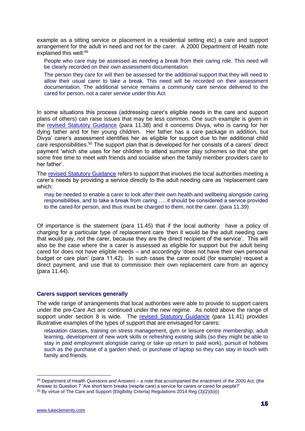example as a sitting service or placement in a residential setting etc) a care and support arrangement for the adult in need and not for the carer. A 2000 Department of Health note explained this well:<sup>49</sup>

People who care may be assessed as needing a break from their caring role. This need will be clearly recorded on their own assessment documentation.

The person they care for will then be assessed for the additional support that they will need to allow their usual carer to take a break. This need will be recorded on their assessment documentation. The additional service remains a community care service delivered to the cared for person, not a carer service under this Act.

In some situations this process (addressing carer's eligible needs in the care and support plans of others) can raise issues that may be less common. One such example is given in the [revised Statutory Guidance](https://www.gov.uk/guidance/care-and-support-statutory-guidance) (para 11.38) and it concerns Divya, who is caring for her dying father and for her young children. Her father has a care package in addition, but Divya' carer's assessment identifies her as eligible for support due to her additional child care responsibilities.<sup>50</sup> The support plan that is developed for her consists of a carers' direct payment 'which she uses for her children to attend summer play schemes so that she get some free time to meet with friends and socialise when the family member providers care to her father'.

The [revised Statutory Guidance](https://www.gov.uk/guidance/care-and-support-statutory-guidance) refers to support that involves the local authorities meeting a carer's needs by providing a service directly to the adult needing care as 'replacement care which:

may be needed to enable a carer to look after their own health and wellbeing alongside caring responsibilities, and to take a break from caring …. it should be considered a service provided to the cared-for person, and thus must be charged to them, not the carer. (para 11.39)

Of importance is the statement (para 11.45) that if the local authority have a policy of charging for a particular type of replacement care 'then it would be the adult needing care that would pay, not the carer, because they are the direct recipient of the service'. This will also be the case where the a carer is assessed as eligible for support but the adult being cared for does not have eligible needs – and accordingly 'does not have their own personal budget or care plan' (para 11.42). In such cases the carer could (for example) request a direct payment, and use that to commission their own replacement care from an agency (para 11.44).

#### **Carers support services generally**

The wide range of arrangements that local authorities were able to provide to support carers under the pre-Care Act are continued under the new regime. As noted above the range of support under section 8 is wide. The [revised Statutory Guidance](https://www.gov.uk/guidance/care-and-support-statutory-guidance) (para 11.41) provides illustrative examples of the types of support that are envisaged for carers:

relaxation classes, training on stress management, gym or leisure centre membership, adult learning, development of new work skills or refreshing existing skills (so they might be able to stay in paid employment alongside caring or take up return to paid work), pursuit of hobbies such as the purchase of a garden shed, or purchase of laptop so they can stay in touch with family and friends.

<sup>49</sup> Department of Health *Questions and Answers* – a note that accompanied the enactment of the 2000 Act; (the Answer to Question 7 'Are short term breaks (respite care) a service for carers or cared for people?'

<sup>50</sup> By virtue of The Care and Support (Eligibility Criteria) Regulations 2014 Reg (3)(2)(b)(i)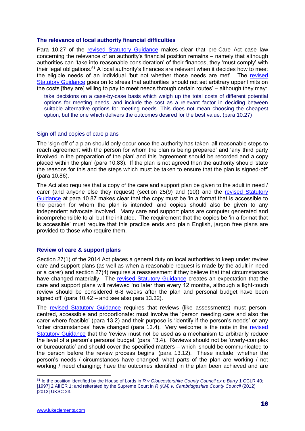#### **The relevance of local authority financial difficulties**

Para 10.27 of the [revised Statutory Guidance](https://www.gov.uk/guidance/care-and-support-statutory-guidance) makes clear that pre-Care Act case law concerning the relevance of an authority's financial position remains – namely that although authorities can 'take into reasonable consideration' of their finances, they 'must comply' with their legal obligations.<sup>51</sup> A local authority's finances are relevant when it decides how to meet the eligible needs of an individual 'but not whether those needs are met'. The [revised](https://www.gov.uk/guidance/care-and-support-statutory-guidance)  [Statutory Guidance](https://www.gov.uk/guidance/care-and-support-statutory-guidance) goes on to stress that authorities 'should not set arbitrary upper limits on the costs [they are] willing to pay to meet needs through certain routes' – although they may:

take decisions on a case-by-case basis which weigh up the total costs of different potential options for meeting needs, and include the cost as a relevant factor in deciding between suitable alternative options for meeting needs. This does not mean choosing the cheapest option; but the one which delivers the outcomes desired for the best value. (para 10.27)

#### Sign off and copies of care plans

The 'sign off of a plan should only occur once the authority has taken 'all reasonable steps to reach agreement with the person for whom the plan is being prepared' and 'any third party involved in the preparation of the plan' and this 'agreement should be recorded and a copy placed within the plan' (para 10.83). If the plan is not agreed then the authority should 'state the reasons for this and the steps which must be taken to ensure that the plan is signed-off' (para 10.86).

The Act also requires that a copy of the care and support plan be given to the adult in need / carer (and anyone else they request) (section 25(9) and (10)) and the [revised Statutory](https://www.gov.uk/guidance/care-and-support-statutory-guidance)  [Guidance](https://www.gov.uk/guidance/care-and-support-statutory-guidance) at para 10.87 makes clear that the copy must be 'in a format that is accessible to the person for whom the plan is intended' and copies should also be given to any independent advocate involved. Many care and support plans are computer generated and incomprehensible to all but the initiated. The requirement that the copies be 'in a format that is accessible' must require that this practice ends and plain English, jargon free plans are provided to those who require them.

### **Review of care & support plans**

Section 27(1) of the 2014 Act places a general duty on local authorities to keep under review care and support plans (as well as when a reasonable request is made by the adult in need or a carer) and section 27(4) requires a reassessment if they believe that that circumstances have changed materially. The [revised Statutory Guidance](https://www.gov.uk/guidance/care-and-support-statutory-guidance) creates an expectation that the care and support plans will reviewed 'no later than every 12 months, although a light-touch review should be considered 6-8 weeks after the plan and personal budget have been signed off' (para 10.42 – and see also para 13.32).

The [revised Statutory Guidance](https://www.gov.uk/guidance/care-and-support-statutory-guidance) requires that reviews (like assessments) must personcentred, accessible and proportionate: must involve the 'person needing care and also the carer where feasible' (para 13.2) and their purpose is 'identify if the person's needs' or any 'other circumstances' have changed (para 13.4). Very welcome is the note in the [revised](https://www.gov.uk/guidance/care-and-support-statutory-guidance)  [Statutory Guidance](https://www.gov.uk/guidance/care-and-support-statutory-guidance) that the 'review must not be used as a mechanism to arbitrarily reduce the level of a person's personal budget' (para 13.4). Reviews should not be 'overly-complex or bureaucratic' and should cover the specified matters – which 'should be communicated to the person before the review process begins' (para 13.12). These include: whether the person's needs / circumstances have changed; what parts of the plan are working / not working / need changing; have the outcomes identified in the plan been achieved and are

<sup>51</sup> Ie the position identified by the House of Lords in *R v Gloucestershire County Council ex p Barry* 1 CCLR 40; [1997] 2 All ER 1; and reiterated by the Supreme Court in *R (KM) v. Cambridgeshire County Council* (2012) [2012] UKSC 23.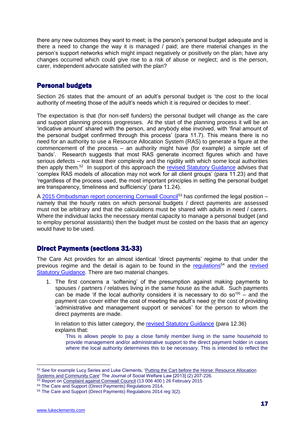there any new outcomes they want to meet; is the person's personal budget adequate and is there a need to change the way it is managed / paid; are there material changes in the person's support networks which might impact negatively or positively on the plan; have any changes occurred which could give rise to a risk of abuse or neglect; and is the person, carer, independent advocate satisfied with the plan?

### Personal budgets

Section 26 states that the amount of an adult's personal budget is 'the cost to the local authority of meeting those of the adult's needs which it is required or decides to meet'.

The expectation is that (for non-self funders) the personal budget will change as the care and support planning process progresses. At the start of the planning process it will be an 'indicative amount' shared with the person, and anybody else involved, with 'final amount of the personal budget confirmed through this process' (para 11.7). This means there is no need for an authority to use a Resource Allocation System (RAS) to generate a figure at the commencement of the process – an authority might have (for example) a simple set of 'bands'. Research suggests that most RAS generate incorrect figures which and have serious defects – not least their complexity and the rigidity with which some local authorities then apply them.<sup>52</sup> In support of this approach the [revised Statutory Guidance](https://www.gov.uk/guidance/care-and-support-statutory-guidance) advises that 'complex RAS models of allocation may not work for all client groups' (para 11.23) and that 'regardless of the process used, the most important principles in setting the personal budget are transparency, timeliness and sufficiency' (para 11.24).

A [2015 Ombudsman report concerning Cornwall Council](http://www.lgo.org.uk/decisions/adult-care-services/assessment-and-care-plan/13-006-400)<sup>53</sup> has confirmed the legal position – namely that the hourly rates on which personal budgets / direct payments are assessed must not be arbitrary and that the calculations must be shared with adults in need / carers. Where the individual lacks the necessary mental capacity to manage a personal budget (and to employ personal assistants) then the budget must be costed on the basis that an agency would have to be used.

### Direct Payments (sections 31-33)

The Care Act provides for an almost identical 'direct payments' regime to that under the previous regime and the detail is again to be found in the [regulations](http://www.legislation.gov.uk/uksi/2014/2871/pdfs/uksi_20142871_en.pdf)<sup>54</sup> and the revised [Statutory Guidance.](https://www.gov.uk/guidance/care-and-support-statutory-guidance) There are two material changes.

1. The first concerns a 'softening' of the presumption against making payments to spouses / partners / relatives living in the same house as the adult. Such payments can be made 'if the local authority considers it is necessary to do so<sup>'55</sup> – and the payment can cover either the cost of meeting the adult's need or the cost of providing 'administrative and management support or services' for the person to whom the direct payments are made.

In relation to this latter category, the [revised Statutory Guidance](https://www.gov.uk/guidance/care-and-support-statutory-guidance) (para 12.36) explains that:

This is allows people to pay a close family member living in the same household to provide management and/or administrative support to the direct payment holder in cases where the local authority determines this to be necessary. This is intended to reflect the

<sup>52</sup> See for example Lucy Series and Luke Clements, 'Putting the Cart before the Horse: Resource Allocation [Systems and Community Care'](http://www.lukeclements.co.uk/wp-content/uploads/2013/08/RAS-Article-JSWFL-Authors%E2%80%99-Original-Manuscript.pdf) The Journal of Social Welfare Law [2013] (2) 207-226.

<sup>53</sup> Report on [Complaint against Cornwall Council](http://www.lgo.org.uk/decisions/adult-care-services/assessment-and-care-plan/13-006-400) (13 006 400) 26 February 2015

<sup>54</sup> The Care and Support (Direct Payments) Regulations 2014.

<sup>55</sup> The Care and Support (Direct Payments) Regulations 2014 reg 3(2).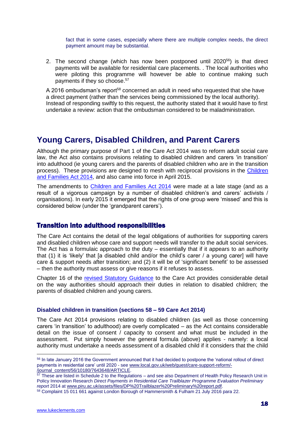fact that in some cases, especially where there are multiple complex needs, the direct payment amount may be substantial.

2. The second change (which has now been postponed until 2020<sup>56</sup>) is that direct payments will be available for residential care placements. . The local authorities who were piloting this programme will however be able to continue making such payments if they so choose. 57

A 2016 ombudsman's report<sup>58</sup> concerned an adult in need who requested that she have a direct payment (rather than the services being commissioned by the local authority). Instead of responding swiftly to this request, the authority stated that it would have to first undertake a review: action that the ombudsman considered to be maladministration.

### **Young Carers, Disabled Children, and Parent Carers**

Although the primary purpose of Part 1 of the Care Act 2014 was to reform adult social care law, the Act also contains provisions relating to disabled children and carers 'in transition' into adulthood (ie young carers and the parents of disabled children who are in the transition process). These provisions are designed to mesh with reciprocal provisions in the [Children](http://www.legislation.gov.uk/ukpga/2014/6/contents/enacted)  [and Families Act 2014,](http://www.legislation.gov.uk/ukpga/2014/6/contents/enacted) and also came into force in April 2015.

The amendments to [Children and Families Act 2014](http://www.legislation.gov.uk/ukpga/2014/6/contents/enacted) were made at a late stage (and as a result of a vigorous campaign by a number of disabled children's and carers' activists / organisations). In early 2015 it emerged that the rights of one group were 'missed' and this is considered below (under the 'grandparent carers').

### Transition into adulthood responsibilities

The Care Act contains the detail of the legal obligations of authorities for supporting carers and disabled children whose care and support needs will transfer to the adult social services. The Act has a formulaic approach to the duty – essentially that if it appears to an authority that (1) it is 'likely' that [a disabled child and/or the child's carer / a young carer] will have care & support needs after transition; and (2) it will be of 'significant benefit' to be assessed – then the authority must assess or give reasons if it refuses to assess.

Chapter 16 of the [revised Statutory Guidance](https://www.gov.uk/guidance/care-and-support-statutory-guidance) to the Care Act provides considerable detail on the way authorities should approach their duties in relation to disabled children; the parents of disabled children and young carers.

### **Disabled children in transition (sections 58 – 59 Care Act 2014)**

The Care Act 2014 provisions relating to disabled children (as well as those concerning carers 'in transition' to adulthood) are overly complicated – as the Act contains considerable detail on the issue of consent / capacity to consent and what must be included in the assessment. Put simply however the general formula (above) applies - namely: a local authority must undertake a needs assessment of a disabled child if it considers that the child

<sup>56</sup> In late January 2016 the Government announced that it had decided to postpone the 'national rollout of direct payments in residential care' until 2020 - se[e www.local.gov.uk/web/guest/care-support-reform/-](http://www.local.gov.uk/web/guest/care-support-reform/-/journal_content/56/10180/7643648/ARTICLE) [/journal\\_content/56/10180/7643648/ARTICLE.](http://www.local.gov.uk/web/guest/care-support-reform/-/journal_content/56/10180/7643648/ARTICLE)

 $\frac{57}{10}$  These are listed in Schedule 2 to the Regulations – and see also Department of Health Policy Research Unit in Policy Innovation Research *Direct Payments in Residential Care Trailblazer Programme Evaluation Preliminary report* 2014 a[t www.piru.ac.uk/assets/files/DP%20Trailblazer%20Preliminary%20report.pdf.](http://www.piru.ac.uk/assets/files/DP%20Trailblazer%20Preliminary%20report.pdf)

<sup>58</sup> Complaint 15 011 661 against London Borough of Hammersmith & Fulham 21 July 2016 para 22.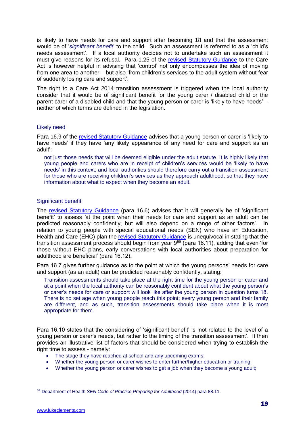is likely to have needs for care and support after becoming 18 and that the assessment would be of '*significant benefit*' to the child. Such an assessment is referred to as a 'child's needs assessment'. If a local authority decides not to undertake such an assessment it must give reasons for its refusal. Para 1.25 of the [revised Statutory Guidance](https://www.gov.uk/guidance/care-and-support-statutory-guidance) to the Care Act is however helpful in advising that 'control' not only encompasses the idea of moving from one area to another – but also 'from children's services to the adult system without fear of suddenly losing care and support'.

The right to a Care Act 2014 transition assessment is triggered when the local authority consider that it would be of significant benefit for the young carer / disabled child or the parent carer of a disabled child and that the young person or carer is 'likely to have needs' – neither of which terms are defined in the legislation.

### Likely need

Para 16.9 of the [revised Statutory Guidance](https://www.gov.uk/guidance/care-and-support-statutory-guidance) advises that a young person or carer is 'likely to have needs' if they have 'any likely appearance of any need for care and support as an adult':

not just those needs that will be deemed eligible under the adult statute. It is highly likely that young people and carers who are in receipt of children's services would be 'likely to have needs' in this context, and local authorities should therefore carry out a transition assessment for those who are receiving children's services as they approach adulthood, so that they have information about what to expect when they become an adult.

### Significant benefit

The [revised Statutory Guidance](https://www.gov.uk/guidance/care-and-support-statutory-guidance) (para 16.6) advises that it will generally be of 'significant benefit' to assess *'*at the point when their needs for care and support as an adult can be predicted reasonably confidently, but will also depend on a range of other factors'. In relation to young people with special educational needs (SEN) who have an Education, Health and Care (EHC) plan the [revised Statutory Guidance](https://www.gov.uk/guidance/care-and-support-statutory-guidance) is unequivocal in stating that the transition assessment process should begin from year  $9^{59}$  (para 16.11), adding that even 'for those without EHC plans, early conversations with local authorities about preparation for adulthood are beneficial' (para 16.12).

Para 16.7 gives further guidance as to the point at which the young persons' needs for care and support (as an adult) can be predicted reasonably confidently, stating:

Transition assessments should take place at the right time for the young person or carer and at a point when the local authority can be reasonably confident about what the young person's or carer's needs for care or support will look like after the young person in question turns 18. There is no set age when young people reach this point; every young person and their family are different, and as such, transition assessments should take place when it is most appropriate for them.

Para 16.10 states that the considering of 'significant benefit' is 'not related to the level of a young person or carer's needs, but rather to the timing of the transition assessment'. It then provides an illustrative list of factors that should be considered when trying to establish the right time to assess - namely:

- The stage they have reached at school and any upcoming exams;
- Whether the young person or carer wishes to enter further/higher education or training;
- Whether the young person or carer wishes to get a job when they become a young adult;

<sup>1</sup> <sup>59</sup> Department of Health *[SEN Code of Practice](https://www.gov.uk/government/publications/send-code-of-practice-0-to-25) Preparing for Adulthood* (2014) para 88.11.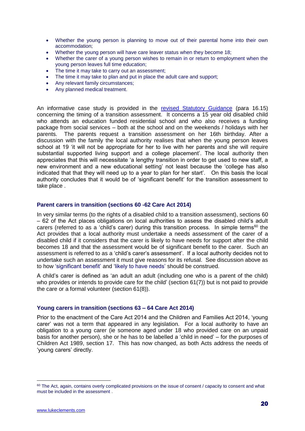- Whether the young person is planning to move out of their parental home into their own accommodation;
- Whether the young person will have care leaver status when they become 18;
- Whether the carer of a young person wishes to remain in or return to employment when the young person leaves full time education;
- The time it may take to carry out an assessment;
- The time it may take to plan and put in place the adult care and support;
- Any relevant family circumstances;
- Any planned medical treatment.

An informative case study is provided in the [revised Statutory Guidance](https://www.gov.uk/guidance/care-and-support-statutory-guidance) (para 16.15) concerning the timing of a transition assessment. It concerns a 15 year old disabled child who attends an education funded residential school and who also receives a funding package from social services – both at the school and on the weekends / holidays with her parents. The parents request a transition assessment on her 16th birthday. After a discussion with the family the local authority realises that when the young person leaves school at 19 'it will not be appropriate for her to live with her parents and she will require substantial supported living support and a college placement'. The local authority then appreciates that this will necessitate 'a lengthy transition in order to get used to new staff, a new environment and a new educational setting' not least because the 'college has also indicated that that they will need up to a year to plan for her start'. On this basis the local authority concludes that it would be of 'significant benefit' for the transition assessment to take place .

#### **Parent carers in transition (sections 60 -62 Care Act 2014)**

In very similar terms (to the rights of a disabled child to a transition assessment), sections 60 – 62 of the Act places obligations on local authorities to assess the disabled child's adult carers (referred to as a 'child's carer) during this transition process. In simple terms<sup>60</sup> the Act provides that a local authority must undertake a needs assessment of the carer of a disabled child if it considers that the carer is likely to have needs for support after the child becomes 18 and that the assessment would be of significant benefit to the carer. Such an assessment is referred to as a 'child's carer's assessment'. If a local authority decides not to undertake such an assessment it must give reasons for its refusal. See discussion above as to how 'significant benefit' and 'likely to have needs' should be construed.

A child's carer is defined as 'an adult an adult (including one who is a parent of the child) who provides or intends to provide care for the child' (section 61(7)) but is not paid to provide the care or a formal volunteer (section 61(8)).

### **Young carers in transition (sections 63 – 64 Care Act 2014)**

Prior to the enactment of the Care Act 2014 and the Children and Families Act 2014, 'young carer' was not a term that appeared in any legislation. For a local authority to have an obligation to a young carer (ie someone aged under 18 who provided care on an unpaid basis for another person), she or he has to be labelled a 'child in need' – for the purposes of Children Act 1989, section 17. This has now changed, as both Acts address the needs of 'young carers' directly.

<sup>&</sup>lt;sup>60</sup> The Act, again, contains overly complicated provisions on the issue of consent / capacity to consent and what must be included in the assessment .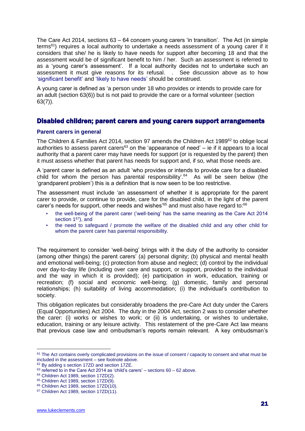The Care Act 2014, sections 63 – 64 concern young carers 'in transition'. The Act (in simple terms<sup>61</sup>) requires a local authority to undertake a needs assessment of a young carer if it considers that she/ he is likely to have needs for support after becoming 18 and that the assessment would be of significant benefit to him / her. Such an assessment is referred to as a 'young carer's assessment'. If a local authority decides not to undertake such an assessment it must give reasons for its refusal. . See discussion above as to how 'significant benefit' and 'likely to have needs' should be construed.

A young carer is defined as 'a person under 18 who provides or intends to provide care for an adult (section 63(6)) but is not paid to provide the care or a formal volunteer (section 63(7)).

### Disabled children; parent carers and young carers support arrangements

### **Parent carers in general**

The Children & Families Act 2014, section 97 amends the Children Act 1989<sup>62</sup> to oblige local authorities to assess parent carers<sup>63</sup> on the 'appearance of need' – ie if it appears to a local authority that a parent carer may have needs for support (or is requested by the parent) then it must assess whether that parent has needs for support and, if so, what those needs are.

A 'parent carer is defined as an adult 'who provides or intends to provide care for a disabled child for whom the person has parental responsibility'. $64$  As will be seen below (the 'grandparent problem') this is a definition that is now seen to be too restrictive.

The assessment must include 'an assessment of whether it is appropriate for the parent carer to provide, or continue to provide, care for the disabled child, in the light of the parent carer's needs for support, other needs and wishes<sup>'65</sup> and must also have regard to: $66$ 

- the well-being of the parent carer ('well-being' has the same meaning as the Care Act 2014 section 1<sup>67</sup>), and
- the need to safeguard / promote the welfare of the disabled child and any other child for whom the parent carer has parental responsibility.

The requirement to consider 'well-being' brings with it the duty of the authority to consider (among other things) the parent carers' (a) personal dignity; (b) physical and mental health and emotional well-being; (c) protection from abuse and neglect; (d) control by the individual over day-to-day life (including over care and support, or support, provided to the individual and the way in which it is provided); (e) participation in work, education, training or recreation; (f) social and economic well-being; (g) domestic, family and personal relationships; (h) suitability of living accommodation; (i) the individual's contribution to society.

This obligation replicates but considerably broadens the pre-Care Act duty under the Carers (Equal Opportunities) Act 2004. The duty in the 2004 Act, section 2 was to consider whether the carer: (i) works or wishes to work; or (ii) is undertaking, or wishes to undertake, education, training or any leisure activity. This restatement of the pre-Care Act law means that previous case law and ombudsman's reports remain relevant. A key ombudsman's

<sup>&</sup>lt;sup>61</sup> The Act contains overly complicated provisions on the issue of consent / capacity to consent and what must be included in the assessment – see footnote above.

<sup>62</sup> By adding s section 17ZD and section 17ZE.

 $63$  referred to in the Care Act 2014 as 'child's carers' – sections  $60 - 62$  above.

<sup>64</sup> Children Act 1989, section 17ZD(2).

<sup>65</sup> Children Act 1989, section 17ZD(9).

<sup>66</sup> Children Act 1989, section 17ZD(10).

<sup>67</sup> Children Act 1989, section 17ZD(11).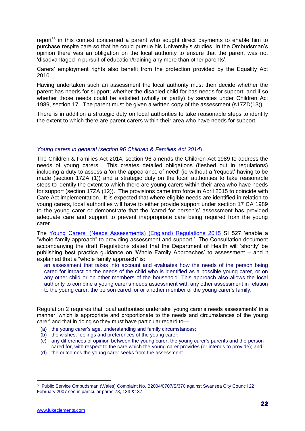report<sup>68</sup> in this context concerned a parent who sought direct payments to enable him to purchase respite care so that he could pursue his University's studies. In the Ombudsman's opinion there was an obligation on the local authority to ensure that the parent was not 'disadvantaged in pursuit of education/training any more than other parents'.

Carers' employment rights also benefit from the protection provided by the Equality Act 2010.

Having undertaken such an assessment the local authority must then decide whether the parent has needs for support; whether the disabled child for has needs for support; and if so whether those needs could be satisfied (wholly or partly) by services under Children Act 1989, section 17. The parent must be given a written copy of the assessment (s17ZD(13)).

There is in addition a strategic duty on local authorities to take reasonable steps to identify the extent to which there are parent carers within their area who have needs for support.

### *Young carers in general (section 96 Children & Families Act 2014*)

The Children & Families Act 2014, section 96 amends the Children Act 1989 to address the needs of young carers. This creates detailed obligations (fleshed out in regulations) including a duty to assess a 'on the appearance of need' (ie without a 'request' having to be made (section 17ZA (1)) and a strategic duty on the local authorities to take reasonable steps to identify the extent to which there are young carers within their area who have needs for support (section 17ZA (12)). The provisions came into force in April 2015 to coincide with Care Act implementation. It is expected that where eligible needs are identified in relation to young carers, local authorities will have to either provide support under section 17 CA 1989 to the young carer or demonstrate that the 'cared for person's' assessment has provided adequate care and support to prevent inappropriate care being required from the young carer.

The [Young Carers' \(Needs Assessments\) \(England\) Regulations 2015](http://www.legislation.gov.uk/uksi/2015/527/contents/made) SI 527 'enable a "whole family approach" to providing assessment and support.' The Consultation document accompanying the draft Regulations stated that the Department of Health will 'shortly' be publishing best practice guidance on 'Whole Family Approaches' to assessment – and it explained that a "whole family approach" is:

an assessment that takes into account and evaluates how the needs of the person being cared for impact on the needs of the child who is identified as a possible young carer, or on any other child or on other members of the household. This approach also allows the local authority to combine a young carer's needs assessment with any other assessment in relation to the young carer, the person cared for or another member of the young carer's family.

Regulation 2 requires that local authorities undertake 'young carer's needs assessments' in a manner 'which is appropriate and proportionate to the needs and circumstances of the young carer' and that in doing so they must have particular regard to—

- (a) the young carer's age, understanding and family circumstances;
- (b) the wishes, feelings and preferences of the young carer;
- (c) any differences of opinion between the young carer, the young carer's parents and the person cared for, with respect to the care which the young carer provides (or intends to provide); and
- (d) the outcomes the young carer seeks from the assessment.

<sup>68</sup> Public Service Ombudsman (Wales) Complaint No. B2004/0707/S/370 against Swansea City Council 22 February 2007 see in particular paras 78, 133 &137.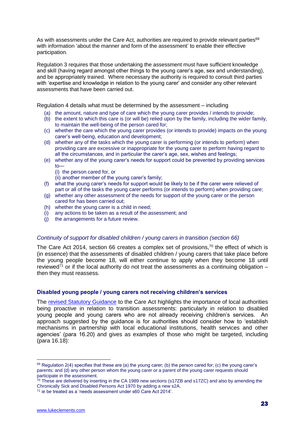As with assessments under the Care Act, authorities are required to provide relevant parties<sup>69</sup> with information 'about the manner and form of the assessment' to enable their effective participation.

Regulation 3 requires that those undertaking the assessment must have sufficient knowledge and skill (having regard amongst other things to the young carer's age, sex and understanding), and be appropriately trained. Where necessary the authority is required to consult third parties with 'expertise and knowledge in relation to the young carer' and consider any other relevant assessments that have been carried out.

Regulation 4 details what must be determined by the assessment – including

- (a) the amount, nature and type of care which the young carer provides / intends to provide;
- (b) the extent to which this care is (or will be) relied upon by the family, including the wider family, to maintain the well-being of the person cared for;
- (c) whether the care which the young carer provides (or intends to provide) impacts on the young carer's well-being, education and development;
- (d) whether any of the tasks which the young carer is performing (or intends to perform) when providing care are excessive or inappropriate for the young carer to perform having regard to all the circumstances, and in particular the carer's age, sex, wishes and feelings;
- (e) whether any of the young carer's needs for support could be prevented by providing services to—
	- (i) the person cared for, or
	- (ii) another member of the young carer's family;
- (f) what the young carer's needs for support would be likely to be if the carer were relieved of part or all of the tasks the young carer performs (or intends to perform) when providing care;
- (g) whether any other assessment of the needs for support of the young carer or the person cared for has been carried out;
- (h) whether the young carer is a child in need;
- (i) any actions to be taken as a result of the assessment; and
- (j) the arrangements for a future review.

### *Continuity of support for disabled children / young carers in transition (section 66)*

The Care Act 2014, section 66 creates a complex set of provisions, $70$  the effect of which is (in essence) that the assessments of disabled children / young carers that take place before the young people become 18, will either continue to apply when they become 18 until reviewed<sup>71</sup> or if the local authority do not treat the assessments as a continuing obligation – then they must reassess.

### **Disabled young people / young carers not receiving children's services**

The [revised Statutory Guidance](https://www.gov.uk/guidance/care-and-support-statutory-guidance) to the Care Act highlights the importance of local authorities being proactive in relation to transition assessments: particularly in relation to disabled young people and young carers who are not already receiving children's services. An approach suggested by the guidance is for authorities should consider how to 'establish mechanisms in partnership with local educational institutions, health services and other agencies' (para 16.20) and gives as examples of those who might be targeted, including (para 16.18):

 $69$  Regulation 2(4) specifies that these are (a) the young carer; (b) the person cared for; (c) the young carer's parents; and (d) any other person whom the young carer or a parent of the young carer requests should participate in the assessment.

 $70$  These are delivered by inserting in the CA 1989 new sections (s17ZB and s17ZC) and also by amending the Chronically Sick and Disabled Persons Act 1970 by adding a new s2A.

<sup>71</sup> ie be treated as a 'needs assessment under s60 Care Act 2014'.